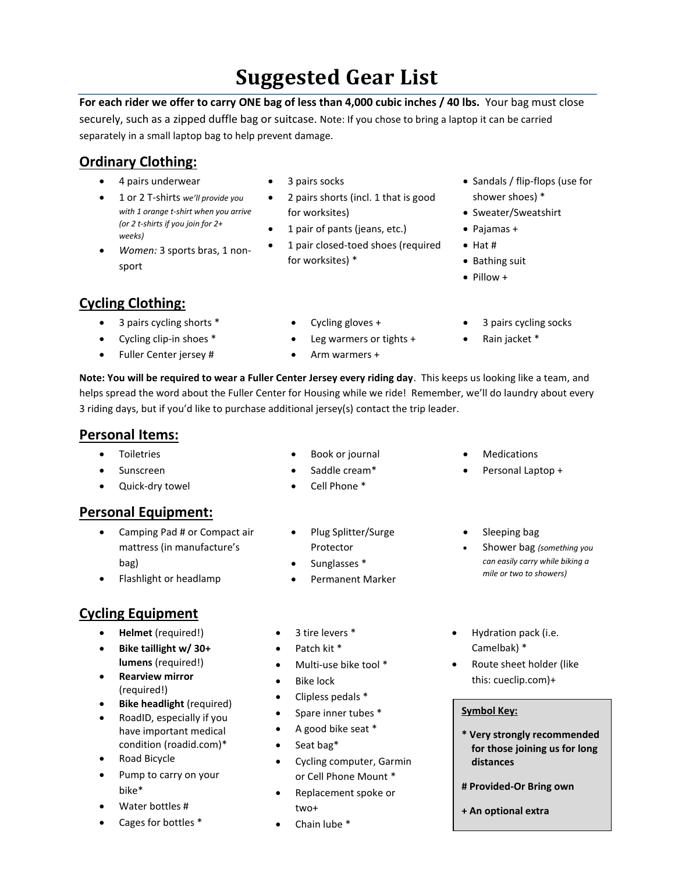# **Suggested Gear List**

**For each rider we offer to carry ONE bag of less than 4,000 cubic inches / 40 lbs.** Your bag must close securely, such as a zipped duffle bag or suitcase. Note: If you chose to bring a laptop it can be carried separately in a small laptop bag to help prevent damage.

## **Ordinary Clothing:**

- 4 pairs underwear
- 1 or 2 T-shirts *we'll provide you with 1 orange t-shirt when you arrive (or 2 t-shirts if you join for 2+ weeks)*
- *Women:* 3 sports bras, 1 nonsport
- 3 pairs socks
- 2 pairs shorts (incl. 1 that is good for worksites)
- 1 pair of pants (jeans, etc.)
- 1 pair closed-toed shoes (required for worksites) \*
- Sandals / flip-flops (use for shower shoes) \*

3 pairs cycling socks

- Sweater/Sweatshirt
- Pajamas +
- $\bullet$  Hat #
- Bathing suit
- $\bullet$  Pillow +

#### **Cycling Clothing:**

- 3 pairs cycling shorts \*
- Cycling clip-in shoes \*
- Fuller Center jersey #
- Cycling gloves +
- Leg warmers or tights +
- Arm warmers +
- Rain jacket \*

**Note: You will be required to wear a Fuller Center Jersey every riding day**. This keeps us looking like a team, and helps spread the word about the Fuller Center for Housing while we ride! Remember, we'll do laundry about every 3 riding days, but if you'd like to purchase additional jersey(s) contact the trip leader.

#### **Personal Items:**

- Toiletries
- Sunscreen
- Quick-dry towel

#### **Personal Equipment:**

- Camping Pad # or Compact air mattress (in manufacture's bag)
- Flashlight or headlamp
- Plug Splitter/Surge Protector
- Sunglasses \*
- Permanent Marker
- Medications
- Personal Laptop +
- Sleeping bag
- Shower bag *(something you can easily carry while biking a mile or two to showers)*

## **Cycling Equipment**

- **Helmet** (required!)
- **Bike taillight w/ 30+ lumens** (required!)
- **Rearview mirror**  (required!)
- **Bike headlight** (required)
- RoadID, especially if you have important medical condition (roadid.com)\*
- Road Bicycle
- Pump to carry on your bike\*
- Water bottles #
- Cages for bottles \*
- 3 tire levers \*
- Patch kit \*
- Multi-use bike tool \*
- Bike lock
- Clipless pedals \*
- Spare inner tubes \*
- A good bike seat \*
- Seat bag\*
- Cycling computer, Garmin or Cell Phone Mount \*
- Replacement spoke or two+
- Chain lube \*
- Hydration pack (i.e. Camelbak) \*
- Route sheet holder (like this: [cueclip.com\)](http://www.cueclip.com/)+

#### **Symbol Key:**

- **\* Very strongly recommended for those joining us for long distances**
- **# Provided-Or Bring own**
- **+ An optional extra**
- Book or journal
- 
- 
- 
- Saddle cream\* Cell Phone \*
- 
- 

- 
-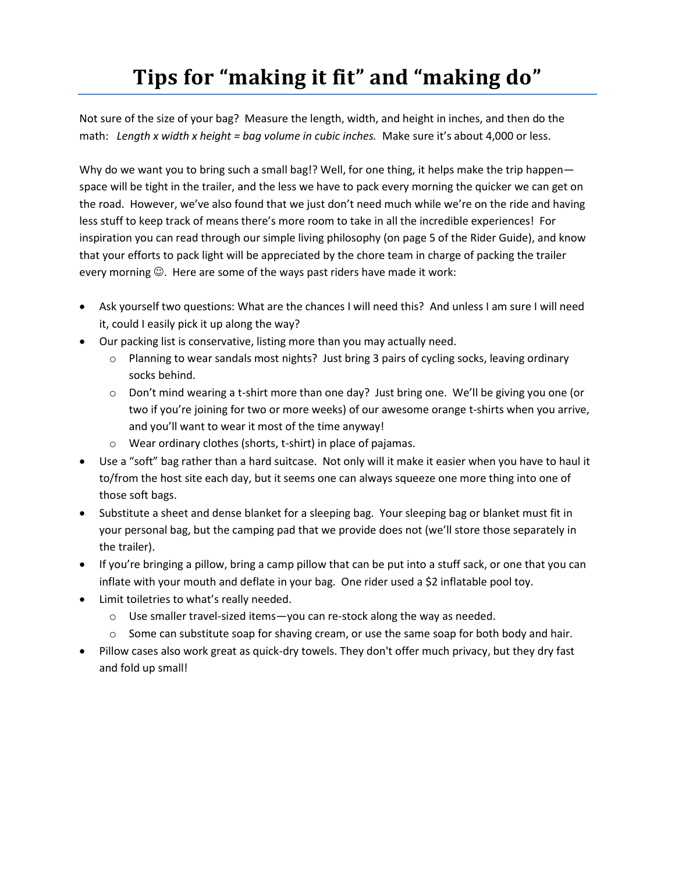# **Tips for "making it fit" and "making do"**

Not sure of the size of your bag? Measure the length, width, and height in inches, and then do the math:*Length x width x height = bag volume in cubic inches.* Make sure it's about 4,000 or less.

Why do we want you to bring such a small bag!? Well, for one thing, it helps make the trip happen space will be tight in the trailer, and the less we have to pack every morning the quicker we can get on the road. However, we've also found that we just don't need much while we're on the ride and having less stuff to keep track of means there's more room to take in all the incredible experiences! For inspiration you can read through our simple living philosophy (on page 5 of the Rider Guide), and know that your efforts to pack light will be appreciated by the chore team in charge of packing the trailer every morning  $\odot$ . Here are some of the ways past riders have made it work:

- Ask yourself two questions: What are the chances I will need this? And unless I am sure I will need it, could I easily pick it up along the way?
- Our packing list is conservative, listing more than you may actually need.
	- $\circ$  Planning to wear sandals most nights? Just bring 3 pairs of cycling socks, leaving ordinary socks behind.
	- o Don't mind wearing a t-shirt more than one day? Just bring one. We'll be giving you one (or two if you're joining for two or more weeks) of our awesome orange t-shirts when you arrive, and you'll want to wear it most of the time anyway!
	- o Wear ordinary clothes (shorts, t-shirt) in place of pajamas.
- Use a "soft" bag rather than a hard suitcase. Not only will it make it easier when you have to haul it to/from the host site each day, but it seems one can always squeeze one more thing into one of those soft bags.
- Substitute a sheet and dense blanket for a sleeping bag. Your sleeping bag or blanket must fit in your personal bag, but the camping pad that we provide does not (we'll store those separately in the trailer).
- If you're bringing a pillow, bring a camp pillow that can be put into a stuff sack, or one that you can inflate with your mouth and deflate in your bag. One rider used a \$2 inflatable pool toy.
- Limit toiletries to what's really needed.
	- o Use smaller travel-sized items—you can re-stock along the way as needed.
	- $\circ$  Some can substitute soap for shaving cream, or use the same soap for both body and hair.
- Pillow cases also work great as quick-dry towels. They don't offer much privacy, but they dry fast and fold up small!